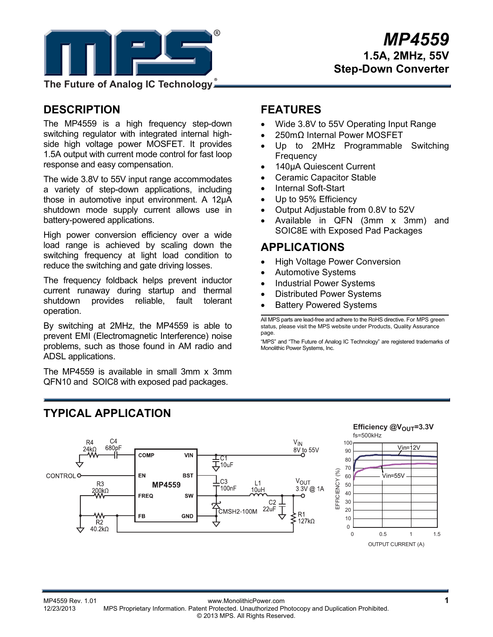

**The Future of Analog IC Technology**

## **DESCRIPTION**

The MP4559 is a high frequency step-down switching regulator with integrated internal highside high voltage power MOSFET. It provides 1.5A output with current mode control for fast loop response and easy compensation.

The wide 3.8V to 55V input range accommodates a variety of step-down applications, including those in automotive input environment. A 12µA shutdown mode supply current allows use in battery-powered applications.

High power conversion efficiency over a wide load range is achieved by scaling down the switching frequency at light load condition to reduce the switching and gate driving losses.

The frequency foldback helps prevent inductor current runaway during startup and thermal shutdown provides reliable, fault tolerant operation.

By switching at 2MHz, the MP4559 is able to prevent EMI (Electromagnetic Interference) noise problems, such as those found in AM radio and ADSL applications.

The MP4559 is available in small 3mm x 3mm QFN10 and SOIC8 with exposed pad packages.

### **FEATURES**

- Wide 3.8V to 55V Operating Input Range
- 250mΩ Internal Power MOSFET
- Up to 2MHz Programmable Switching **Frequency**
- 140µA Quiescent Current
- Ceramic Capacitor Stable
- Internal Soft-Start
- Up to 95% Efficiency
- Output Adjustable from 0.8V to 52V
- Available in QFN (3mm x 3mm) and SOIC8E with Exposed Pad Packages

### **APPLICATIONS**

- High Voltage Power Conversion
- Automotive Systems
- Industrial Power Systems
- Distributed Power Systems
- Battery Powered Systems

All MPS parts are lead-free and adhere to the RoHS directive. For MPS green status, please visit the MPS website under Products, Quality Assurance page.

"MPS" and "The Future of Analog IC Technology" are registered trademarks of Monolithic Power Systems, Inc.



# **TYPICAL APPLICATION**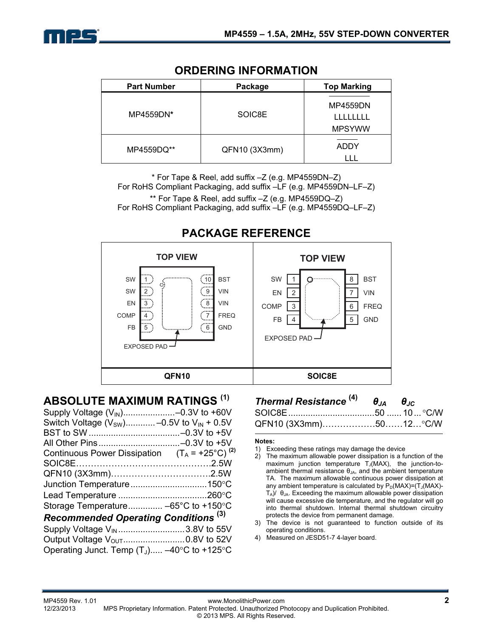

| <b>Part Number</b> | Package       | <b>Top Marking</b> |  |
|--------------------|---------------|--------------------|--|
| MP4559DN*          | SOIC8E        |                    |  |
| MP4559DQ**         | QFN10 (3X3mm) | <b>ADDY</b>        |  |

### **ORDERING INFORMATION**

\* For Tape & Reel, add suffix –Z (e.g. MP4559DN–Z) For RoHS Compliant Packaging, add suffix –LF (e.g. MP4559DN–LF–Z) \*\* For Tape & Reel, add suffix –Z (e.g. MP4559DQ–Z) For RoHS Compliant Packaging, add suffix –LF (e.g. MP4559DQ–LF–Z)



## **PACKAGE REFERENCE**

### **ABSOLUTE MAXIMUM RATINGS (1)**

| Switch Voltage ( $V_{SW}$ ) -0.5V to $V_{IN}$ + 0.5V      |  |
|-----------------------------------------------------------|--|
|                                                           |  |
|                                                           |  |
| Continuous Power Dissipation $(T_A = +25^{\circ}C)^{(2)}$ |  |
|                                                           |  |
|                                                           |  |
|                                                           |  |
|                                                           |  |
| Storage Temperature -65°C to +150°C                       |  |
| <b>Recommended Operating Conditions (3)</b>               |  |
| Supply Voltage V <sub>IN</sub> 3.8V to 55V                |  |
| Output Voltage V <sub>OUT</sub> 0.8V to 52V               |  |
| Operating Junct. Temp $(T_J)$ -40°C to +125°C             |  |

### *Thermal Resistance* **(4)** *θJA θJC* SOIC8E...................................50 ...... 10... C/W QFN10 (3X3mm).................50......12...°C/W

#### **Notes:**

- 1) Exceeding these ratings may damage the device
- 2) The maximum allowable power dissipation is a function of the maximum junction temperature  $T_J(MAX)$ , the junction-toambient thermal resistance  $\theta_{JA}$ , and the ambient temperature TA. The maximum allowable continuous power dissipation at any ambient temperature is calculated by  $P_D(MAX)=(T_J(MAX)-T_J(MAX)-T_J(MAX)-T_J(MAX)-T_J(MAX)$  $T_A$ )/  $\theta_{JA}$ . Exceeding the maximum allowable power dissipation will cause excessive die temperature, and the regulator will go into thermal shutdown. Internal thermal shutdown circuitry protects the device from permanent damage.
- 3) The device is not guaranteed to function outside of its operating conditions.
- 4) Measured on JESD51-7 4-layer board.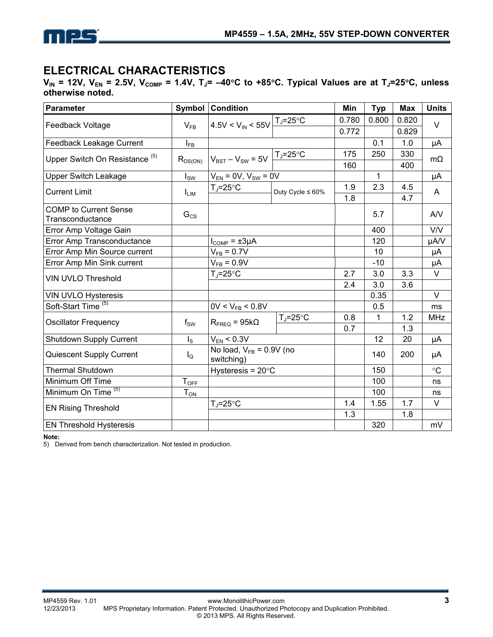

### **ELECTRICAL CHARACTERISTICS**

 $V_{IN}$  = 12V,  $V_{EN}$  = 2.5V,  $V_{COMP}$  = 1.4V,  $T_J$  = -40°C to +85°C. Typical Values are at  $T_J$  = 25°C, unless **otherwise noted.** 

| <b>Parameter</b>                                 | Symbol            | <b>Condition</b>                                                |                        | Min   | <b>Typ</b>   | <b>Max</b> | <b>Units</b> |
|--------------------------------------------------|-------------------|-----------------------------------------------------------------|------------------------|-------|--------------|------------|--------------|
|                                                  |                   | $4.5V < V_{IN} < 55V$                                           | $T_J = 25^{\circ}C$    | 0.780 | 0.800        | 0.820      | $\vee$       |
| Feedback Voltage                                 | $V_{FB}$          |                                                                 |                        | 0.772 |              | 0.829      |              |
| Feedback Leakage Current                         | $I_{FB}$          |                                                                 |                        |       | 0.1          | 1.0        | μA           |
| Upper Switch On Resistance <sup>(5)</sup>        | $R_{DS(ON)}$      | $V_{BST} - V_{SW} = 5V$                                         | $T_J = 25$ °C          | 175   | 250          | 330        | $m\Omega$    |
|                                                  |                   |                                                                 |                        | 160   |              | 400        |              |
| <b>Upper Switch Leakage</b>                      | $I_{SW}$          | $V_{EN}$ = 0V, $V_{SW}$ = 0V                                    |                        |       | $\mathbf{1}$ |            | μA           |
| <b>Current Limit</b>                             | $I_{LIM}$         | $T_{\rm J}$ =25°C                                               | Duty Cycle $\leq 60\%$ | 1.9   | 2.3          | 4.5        | A            |
|                                                  |                   |                                                                 |                        | 1.8   |              | 4.7        |              |
| <b>COMP</b> to Current Sense<br>Transconductance | $G_{CS}$          |                                                                 |                        |       | 5.7          |            | AVV          |
| Error Amp Voltage Gain                           |                   |                                                                 |                        |       | 400          |            | <b>V/V</b>   |
| Error Amp Transconductance                       |                   | $I_{COMP} = \pm 3\mu A$                                         |                        |       | 120          |            | µA/V         |
| Error Amp Min Source current                     |                   | $V_{FB} = 0.7V$                                                 |                        |       | 10           |            | μA           |
| Error Amp Min Sink current                       |                   | $V_{FB} = 0.9V$                                                 |                        |       | $-10$        |            | μA           |
| <b>VIN UVLO Threshold</b>                        |                   | $T_J = 25^{\circ}C$                                             |                        | 2.7   | 3.0          | 3.3        | $\vee$       |
|                                                  |                   |                                                                 |                        | 2.4   | 3.0          | 3.6        |              |
| <b>VIN UVLO Hysteresis</b>                       |                   |                                                                 |                        |       | 0.35         |            | $\vee$       |
| Soft-Start Time <sup>(5)</sup>                   |                   | $0V < V_{FB} < 0.8V$                                            |                        |       | 0.5          |            | ms           |
| <b>Oscillator Frequency</b>                      | $f_{SW}$          | $T_{J} = 25^{\circ}C$<br>$R_{\text{FREQ}} = 95k\Omega$          |                        | 0.8   | 1            | 1.2        | <b>MHz</b>   |
|                                                  |                   |                                                                 |                        | 0.7   |              | 1.3        |              |
| <b>Shutdown Supply Current</b>                   | $I_{\rm S}$       | $V_{EN}$ < 0.3V                                                 |                        |       | 12           | 20         | μA           |
| Quiescent Supply Current                         | $I_{\mathsf{Q}}$  | $\overline{N}$ o load, V <sub>FB</sub> = 0.9V (no<br>switching) |                        |       | 140          | 200        | μA           |
| <b>Thermal Shutdown</b>                          |                   | Hysteresis = $20^{\circ}$ C                                     |                        |       | 150          |            | $\circ$ C    |
| Minimum Off Time                                 | $T_{OFF}$         |                                                                 |                        |       | 100          |            | ns           |
| Minimum On Time <sup>(5)</sup>                   | $T_{\mathsf{ON}}$ |                                                                 |                        |       | 100          |            | ns           |
| <b>EN Rising Threshold</b>                       |                   | $T_J = 25$ °C                                                   |                        | 1.4   | 1.55         | 1.7        | $\vee$       |
|                                                  |                   |                                                                 |                        | 1.3   |              | 1.8        |              |
| <b>EN Threshold Hysteresis</b>                   |                   |                                                                 |                        |       | 320          |            | mV           |

**Note:** 

5) Derived from bench characterization. Not tested in production.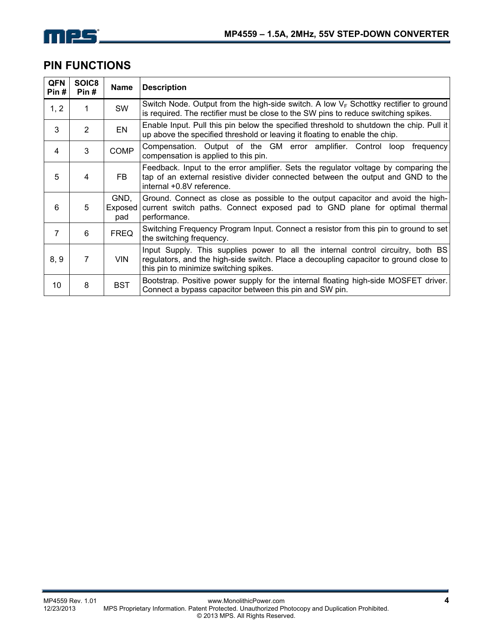

### **PIN FUNCTIONS**

| <b>QFN</b><br>Pin # | SOIC8<br>Pin#  | Name                   | <b>Description</b>                                                                                                                                                                                                  |  |  |  |  |
|---------------------|----------------|------------------------|---------------------------------------------------------------------------------------------------------------------------------------------------------------------------------------------------------------------|--|--|--|--|
| 1, 2                | 1.             | SW                     | Switch Node. Output from the high-side switch. A low $V_F$ Schottky rectifier to ground<br>is required. The rectifier must be close to the SW pins to reduce switching spikes.                                      |  |  |  |  |
| 3                   | $\overline{2}$ | EN                     | Enable Input. Pull this pin below the specified threshold to shutdown the chip. Pull it<br>up above the specified threshold or leaving it floating to enable the chip.                                              |  |  |  |  |
| 4                   | 3              | <b>COMP</b>            | Compensation. Output of the GM error amplifier. Control loop<br>frequency<br>compensation is applied to this pin.                                                                                                   |  |  |  |  |
| 5                   | 4              | <b>FB</b>              | Feedback. Input to the error amplifier. Sets the regulator voltage by comparing the<br>tap of an external resistive divider connected between the output and GND to the<br>internal +0.8V reference.                |  |  |  |  |
| 6                   | 5              | GND,<br>Exposed<br>pad | Ground. Connect as close as possible to the output capacitor and avoid the high-<br>current switch paths. Connect exposed pad to GND plane for optimal thermal<br>performance.                                      |  |  |  |  |
| $\overline{7}$      | 6              | <b>FREQ</b>            | Switching Frequency Program Input. Connect a resistor from this pin to ground to set<br>the switching frequency.                                                                                                    |  |  |  |  |
| 8, 9                | 7              | <b>VIN</b>             | Input Supply. This supplies power to all the internal control circuitry, both BS<br>regulators, and the high-side switch. Place a decoupling capacitor to ground close to<br>this pin to minimize switching spikes. |  |  |  |  |
| 10                  | 8              | <b>BST</b>             | Bootstrap. Positive power supply for the internal floating high-side MOSFET driver.<br>Connect a bypass capacitor between this pin and SW pin.                                                                      |  |  |  |  |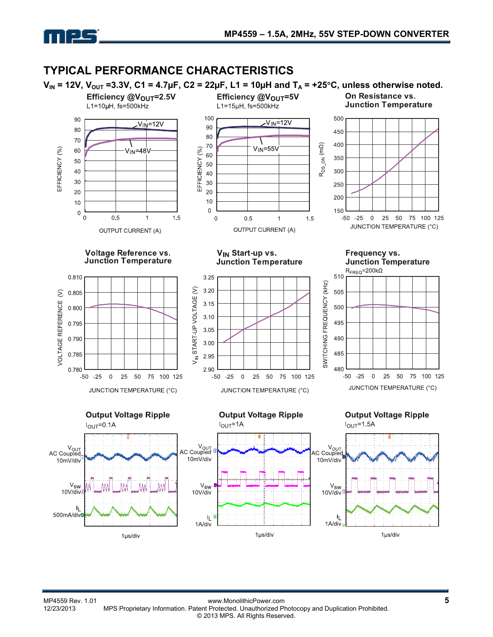

### **TYPICAL PERFORMANCE CHARACTERISTICS**

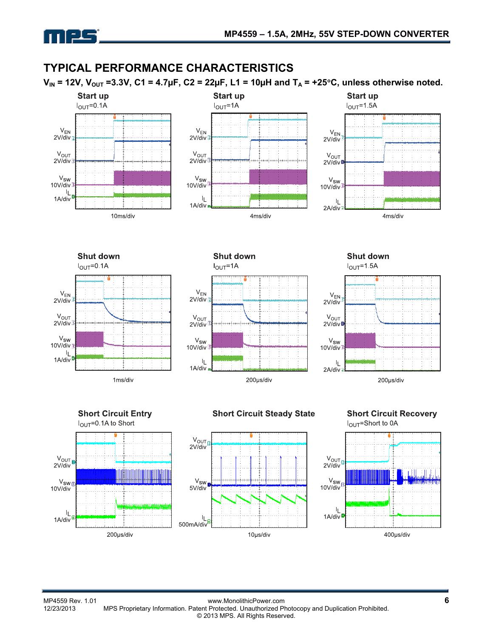

## **TYPICAL PERFORMANCE CHARACTERISTICS**

 $V_{IN}$  = 12V,  $V_{OUT}$  =3.3V, C1 = 4.7µF, C2 = 22µF, L1 = 10µH and  $T_A$  = +25<sup>o</sup>C, unless otherwise noted.







**Shut down**  $I_{OUT} = 0.1A$  $\mathsf{V}_\mathsf{EN}$  $2V/div$  $V_{OUT}$ 2V/div  $V_{SW}$  $10V$ /div  $\mathbf{I}_{\mathbf{I}}$  $1A/div$ 

1ms/div



**Shut down**  $I<sub>OUT</sub>=1.5A$ 









#### **Short Circuit Recovery** I<sub>OUT</sub>=Short to 0A

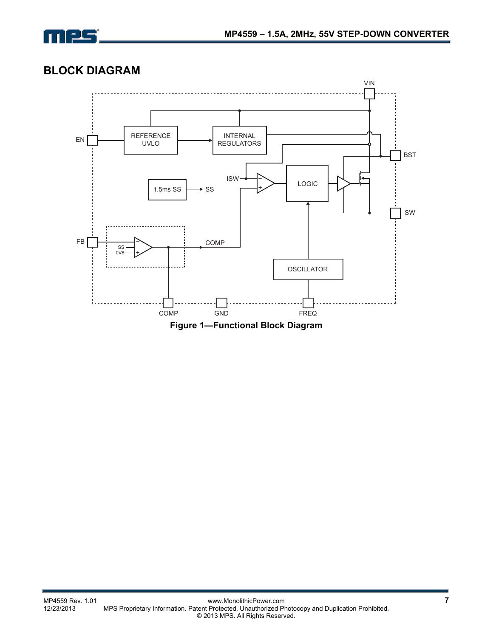

## **BLOCK DIAGRAM**



**Figure 1—Functional Block Diagram**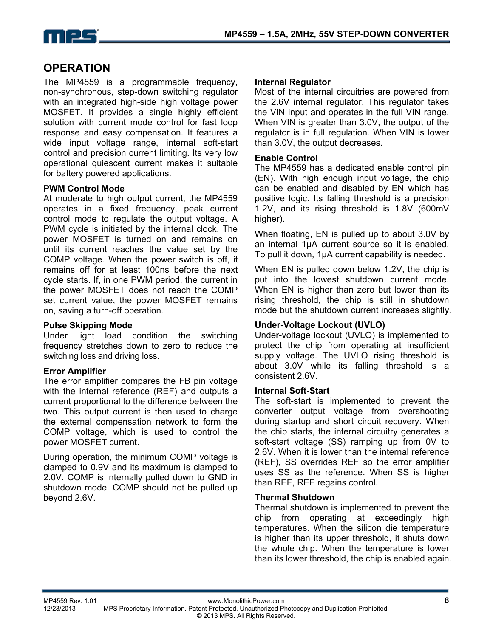

### **OPERATION**

The MP4559 is a programmable frequency, non-synchronous, step-down switching regulator with an integrated high-side high voltage power MOSFET. It provides a single highly efficient solution with current mode control for fast loop response and easy compensation. It features a wide input voltage range, internal soft-start control and precision current limiting. Its very low operational quiescent current makes it suitable for battery powered applications.

#### **PWM Control Mode**

At moderate to high output current, the MP4559 operates in a fixed frequency, peak current control mode to regulate the output voltage. A PWM cycle is initiated by the internal clock. The power MOSFET is turned on and remains on until its current reaches the value set by the COMP voltage. When the power switch is off, it remains off for at least 100ns before the next cycle starts. If, in one PWM period, the current in the power MOSFET does not reach the COMP set current value, the power MOSFET remains on, saving a turn-off operation.

#### **Pulse Skipping Mode**

Under light load condition the switching frequency stretches down to zero to reduce the switching loss and driving loss.

#### **Error Amplifier**

The error amplifier compares the FB pin voltage with the internal reference (REF) and outputs a current proportional to the difference between the two. This output current is then used to charge the external compensation network to form the COMP voltage, which is used to control the power MOSFET current.

During operation, the minimum COMP voltage is clamped to 0.9V and its maximum is clamped to 2.0V. COMP is internally pulled down to GND in shutdown mode. COMP should not be pulled up beyond 2.6V.

#### **Internal Regulator**

Most of the internal circuitries are powered from the 2.6V internal regulator. This regulator takes the VIN input and operates in the full VIN range. When VIN is greater than 3.0V, the output of the regulator is in full regulation. When VIN is lower than 3.0V, the output decreases.

#### **Enable Control**

The MP4559 has a dedicated enable control pin (EN). With high enough input voltage, the chip can be enabled and disabled by EN which has positive logic. Its falling threshold is a precision 1.2V, and its rising threshold is 1.8V (600mV higher).

When floating, EN is pulled up to about 3.0V by an internal 1µA current source so it is enabled. To pull it down, 1µA current capability is needed.

When EN is pulled down below 1.2V, the chip is put into the lowest shutdown current mode. When EN is higher than zero but lower than its rising threshold, the chip is still in shutdown mode but the shutdown current increases slightly.

#### **Under-Voltage Lockout (UVLO)**

Under-voltage lockout (UVLO) is implemented to protect the chip from operating at insufficient supply voltage. The UVLO rising threshold is about 3.0V while its falling threshold is a consistent 2.6V.

#### **Internal Soft-Start**

The soft-start is implemented to prevent the converter output voltage from overshooting during startup and short circuit recovery. When the chip starts, the internal circuitry generates a soft-start voltage (SS) ramping up from 0V to 2.6V. When it is lower than the internal reference (REF), SS overrides REF so the error amplifier uses SS as the reference. When SS is higher than REF, REF regains control.

#### **Thermal Shutdown**

Thermal shutdown is implemented to prevent the chip from operating at exceedingly high temperatures. When the silicon die temperature is higher than its upper threshold, it shuts down the whole chip. When the temperature is lower than its lower threshold, the chip is enabled again.

MP4559 Rev. 1.01 www.MonolithicPower.com **8** 12/23/2013 MPS Proprietary Information. Patent Protected. Unauthorized Photocopy and Duplication Prohibited. © 2013 MPS. All Rights Reserved.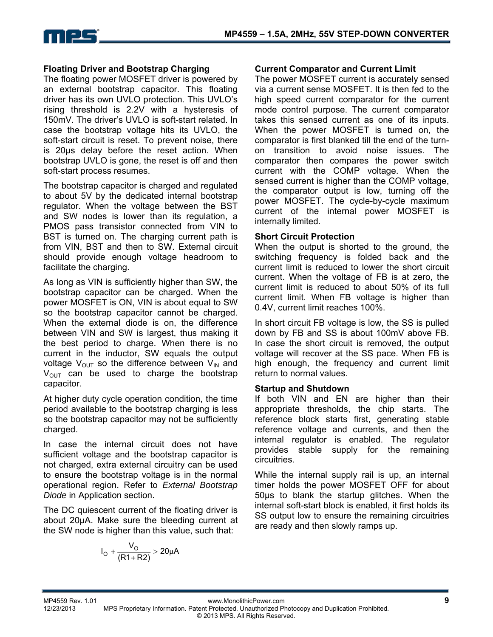

#### **Floating Driver and Bootstrap Charging**

The floating power MOSFET driver is powered by an external bootstrap capacitor. This floating driver has its own UVLO protection. This UVLO's rising threshold is 2.2V with a hysteresis of 150mV. The driver's UVLO is soft-start related. In case the bootstrap voltage hits its UVLO, the soft-start circuit is reset. To prevent noise, there is 20µs delay before the reset action. When bootstrap UVLO is gone, the reset is off and then soft-start process resumes.

The bootstrap capacitor is charged and regulated to about 5V by the dedicated internal bootstrap regulator. When the voltage between the BST and SW nodes is lower than its regulation, a PMOS pass transistor connected from VIN to BST is turned on. The charging current path is from VIN, BST and then to SW. External circuit should provide enough voltage headroom to facilitate the charging.

As long as VIN is sufficiently higher than SW, the bootstrap capacitor can be charged. When the power MOSFET is ON, VIN is about equal to SW so the bootstrap capacitor cannot be charged. When the external diode is on, the difference between VIN and SW is largest, thus making it the best period to charge. When there is no current in the inductor, SW equals the output voltage  $V_{\text{OUT}}$  so the difference between  $V_{\text{IN}}$  and  $V_{\text{OUT}}$  can be used to charge the bootstrap capacitor.

At higher duty cycle operation condition, the time period available to the bootstrap charging is less so the bootstrap capacitor may not be sufficiently charged.

In case the internal circuit does not have sufficient voltage and the bootstrap capacitor is not charged, extra external circuitry can be used to ensure the bootstrap voltage is in the normal operational region. Refer to *External Bootstrap Diode* in Application section.

The DC quiescent current of the floating driver is about 20µA. Make sure the bleeding current at the SW node is higher than this value, such that:

$$
I_{O} + \frac{V_{O}}{(R1 + R2)} > 20 \mu A
$$

#### **Current Comparator and Current Limit**

The power MOSFET current is accurately sensed via a current sense MOSFET. It is then fed to the high speed current comparator for the current mode control purpose. The current comparator takes this sensed current as one of its inputs. When the power MOSFET is turned on, the comparator is first blanked till the end of the turnon transition to avoid noise issues. The comparator then compares the power switch current with the COMP voltage. When the sensed current is higher than the COMP voltage, the comparator output is low, turning off the power MOSFET. The cycle-by-cycle maximum current of the internal power MOSFET is internally limited.

#### **Short Circuit Protection**

When the output is shorted to the ground, the switching frequency is folded back and the current limit is reduced to lower the short circuit current. When the voltage of FB is at zero, the current limit is reduced to about 50% of its full current limit. When FB voltage is higher than 0.4V, current limit reaches 100%.

In short circuit FB voltage is low, the SS is pulled down by FB and SS is about 100mV above FB. In case the short circuit is removed, the output voltage will recover at the SS pace. When FB is high enough, the frequency and current limit return to normal values.

#### **Startup and Shutdown**

If both VIN and EN are higher than their appropriate thresholds, the chip starts. The reference block starts first, generating stable reference voltage and currents, and then the internal regulator is enabled. The regulator provides stable supply for the remaining circuitries.

While the internal supply rail is up, an internal timer holds the power MOSFET OFF for about 50µs to blank the startup glitches. When the internal soft-start block is enabled, it first holds its SS output low to ensure the remaining circuitries are ready and then slowly ramps up.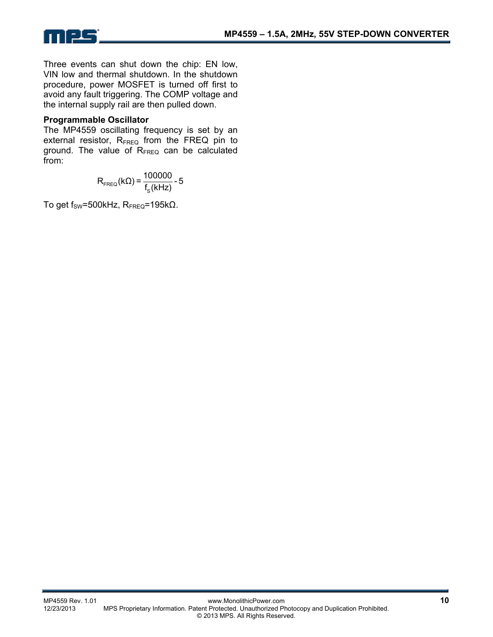



Three events can shut down the chip: EN low, VIN low and thermal shutdown. In the shutdown procedure, power MOSFET is turned off first to avoid any fault triggering. The COMP voltage and the internal supply rail are then pulled down.

#### **Programmable Oscillator**

The MP4559 oscillating frequency is set by an external resistor,  $R_{FREG}$  from the FREQ pin to ground. The value of R<sub>FREQ</sub> can be calculated from:

> FREQ  $R_{\text{FREG}}(kΩ) = \frac{100000}{f_s(kHz)} - 5$

To get  $f_{SW}$ =500kHz,  $R_{FREO}$ =195k $\Omega$ .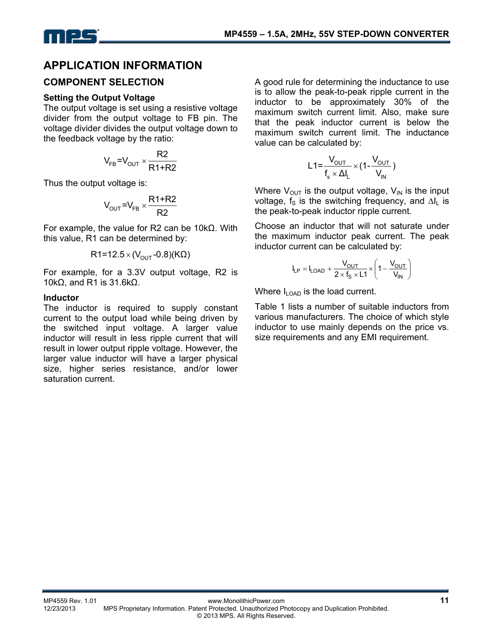

### **APPLICATION INFORMATION**

#### **COMPONENT SELECTION**

#### **Setting the Output Voltage**

The output voltage is set using a resistive voltage divider from the output voltage to FB pin. The voltage divider divides the output voltage down to the feedback voltage by the ratio:

$$
V_{FB} = V_{OUT} \times \frac{R2}{R1 + R2}
$$

Thus the output voltage is:

$$
V_{\text{OUT}} = V_{\text{FB}} \times \frac{R1 + R2}{R2}
$$

For example, the value for R2 can be 10kΩ. With this value, R1 can be determined by:

$$
R1 = 12.5 \times (V_{OUT} - 0.8)(K\Omega)
$$

For example, for a 3.3V output voltage, R2 is 10kΩ, and R1 is 31.6kΩ.

#### **Inductor**

The inductor is required to supply constant current to the output load while being driven by the switched input voltage. A larger value inductor will result in less ripple current that will result in lower output ripple voltage. However, the larger value inductor will have a larger physical size, higher series resistance, and/or lower saturation current.

A good rule for determining the inductance to use is to allow the peak-to-peak ripple current in the inductor to be approximately 30% of the maximum switch current limit. Also, make sure that the peak inductor current is below the maximum switch current limit. The inductance value can be calculated by:

$$
L1 = \frac{V_{OUT}}{f_s \times \Delta I_L} \times (1 - \frac{V_{OUT}}{V_{IN}})
$$

Where  $V_{OUT}$  is the output voltage,  $V_{IN}$  is the input voltage,  $f_s$  is the switching frequency, and ∆I<sub>L</sub> is the peak-to-peak inductor ripple current.

Choose an inductor that will not saturate under the maximum inductor peak current. The peak inductor current can be calculated by:

$$
I_{LP} = I_{LOAD} + \frac{V_{OUT}}{2 \times f_S \times L1} \times \left(1 - \frac{V_{OUT}}{V_{IN}}\right)
$$

Where  $I_{\text{LOAD}}$  is the load current.

Table 1 lists a number of suitable inductors from various manufacturers. The choice of which style inductor to use mainly depends on the price vs. size requirements and any EMI requirement.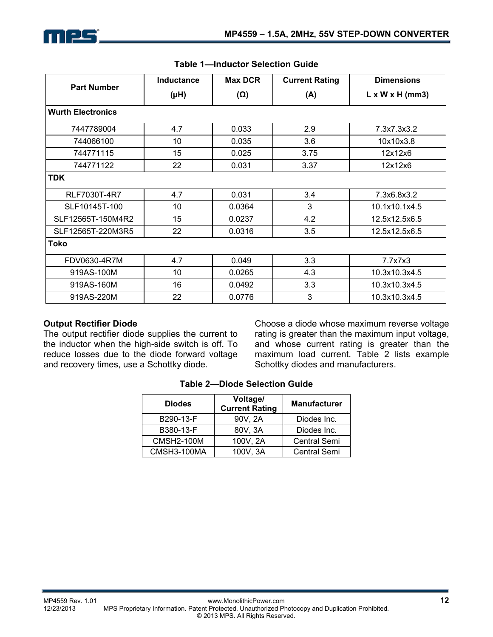|                          | <b>Inductance</b> | <b>Max DCR</b> | <b>Current Rating</b> | <b>Dimensions</b>           |  |  |
|--------------------------|-------------------|----------------|-----------------------|-----------------------------|--|--|
| <b>Part Number</b>       | (HH)              | $(\Omega)$     | (A)                   | $L \times W \times H$ (mm3) |  |  |
| <b>Wurth Electronics</b> |                   |                |                       |                             |  |  |
| 7447789004               | 4.7               | 0.033          | 2.9                   | 7.3x7.3x3.2                 |  |  |
| 744066100                | 10                | 0.035          | 3.6                   | 10x10x3.8                   |  |  |
| 744771115                | 15                | 0.025          | 3.75                  | 12x12x6                     |  |  |
| 744771122                | 22                | 0.031          | 3.37                  | 12x12x6                     |  |  |
| <b>TDK</b>               |                   |                |                       |                             |  |  |
| RLF7030T-4R7             | 4.7               | 0.031          | 3.4                   | 7.3x6.8x3.2                 |  |  |
| SLF10145T-100            | 10                | 0.0364         | 3                     | 10.1x10.1x4.5               |  |  |
| SLF12565T-150M4R2        | 15                | 0.0237         | 4.2                   | 12.5x12.5x6.5               |  |  |
| SLF12565T-220M3R5        | 22                | 0.0316         | 3.5                   | 12.5x12.5x6.5               |  |  |
| Toko                     |                   |                |                       |                             |  |  |
| FDV0630-4R7M             | 4.7               | 0.049          | 3.3                   | 7.7x7x3                     |  |  |
| 919AS-100M               | 10                | 0.0265         | 4.3                   | 10.3x10.3x4.5               |  |  |
| 919AS-160M               | 16                | 0.0492         | 3.3                   | 10.3x10.3x4.5               |  |  |
| 919AS-220M               | 22                | 0.0776         | 3                     | 10.3x10.3x4.5               |  |  |

#### **Table 1—Inductor Selection Guide**

#### **Output Rectifier Diode**

The output rectifier diode supplies the current to the inductor when the high-side switch is off. To reduce losses due to the diode forward voltage and recovery times, use a Schottky diode.

Choose a diode whose maximum reverse voltage rating is greater than the maximum input voltage, and whose current rating is greater than the maximum load current. Table 2 lists example Schottky diodes and manufacturers.

| <b>Diodes</b>     | Voltage/<br><b>Current Rating</b> | <b>Manufacturer</b> |
|-------------------|-----------------------------------|---------------------|
| B290-13-F         | 90V, 2A                           | Diodes Inc.         |
| B380-13-F         | 80V, 3A                           | Diodes Inc.         |
| <b>CMSH2-100M</b> | 100V, 2A                          | <b>Central Semi</b> |
| CMSH3-100MA       | 100V, 3A                          | <b>Central Semi</b> |

**Table 2—Diode Selection Guide**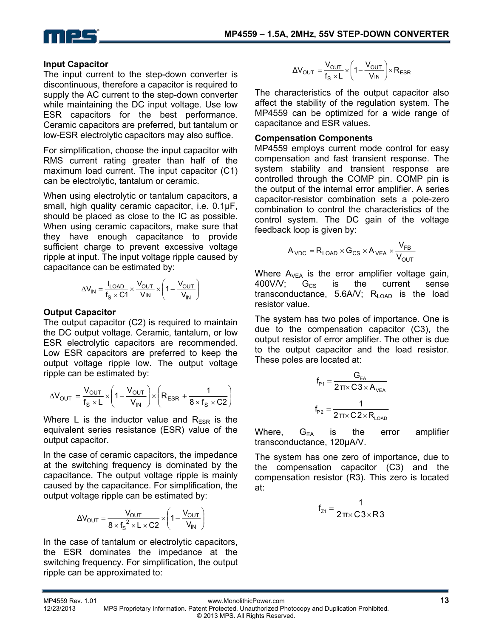

#### **Input Capacitor**

The input current to the step-down converter is discontinuous, therefore a capacitor is required to supply the AC current to the step-down converter while maintaining the DC input voltage. Use low ESR capacitors for the best performance. Ceramic capacitors are preferred, but tantalum or low-ESR electrolytic capacitors may also suffice.

For simplification, choose the input capacitor with RMS current rating greater than half of the maximum load current. The input capacitor (C1) can be electrolytic, tantalum or ceramic.

When using electrolytic or tantalum capacitors, a small, high quality ceramic capacitor, i.e. 0.1μF, should be placed as close to the IC as possible. When using ceramic capacitors, make sure that they have enough capacitance to provide sufficient charge to prevent excessive voltage ripple at input. The input voltage ripple caused by capacitance can be estimated by:

$$
\Delta V_{IN} = \frac{I_{LOAD}}{f_S \times C1} \times \frac{V_{OUT}}{V_{IN}} \times \left(1 - \frac{V_{OUT}}{V_{IN}}\right)
$$

#### **Output Capacitor**

The output capacitor (C2) is required to maintain the DC output voltage. Ceramic, tantalum, or low ESR electrolytic capacitors are recommended. Low ESR capacitors are preferred to keep the output voltage ripple low. The output voltage ripple can be estimated by:

$$
\Delta V_{OUT} = \frac{V_{OUT}}{f_S \times L} \times \left(1 - \frac{V_{OUT}}{V_{IN}}\right) \times \left(R_{ESR} + \frac{1}{8 \times f_S \times C2}\right)
$$

Where L is the inductor value and  $R_{ESR}$  is the equivalent series resistance (ESR) value of the output capacitor.

In the case of ceramic capacitors, the impedance at the switching frequency is dominated by the capacitance. The output voltage ripple is mainly caused by the capacitance. For simplification, the output voltage ripple can be estimated by:

$$
\Delta V_{\text{OUT}} = \frac{V_{\text{OUT}}}{8 \times f_{\text{S}}^2 \times L \times C2} \times \left(1 - \frac{V_{\text{OUT}}}{V_{\text{IN}}}\right)
$$

In the case of tantalum or electrolytic capacitors, the ESR dominates the impedance at the switching frequency. For simplification, the output ripple can be approximated to:

$$
\Delta V_{OUT} = \frac{V_{OUT}}{f_s \times L} \times \left(1 - \frac{V_{OUT}}{V_{IN}}\right) \times R_{ESR}
$$

The characteristics of the output capacitor also affect the stability of the regulation system. The MP4559 can be optimized for a wide range of capacitance and ESR values.

#### **Compensation Components**

MP4559 employs current mode control for easy compensation and fast transient response. The system stability and transient response are controlled through the COMP pin. COMP pin is the output of the internal error amplifier. A series capacitor-resistor combination sets a pole-zero combination to control the characteristics of the control system. The DC gain of the voltage feedback loop is given by:

$$
A_{\text{VDC}} = R_{\text{LOAD}} \times G_{\text{CS}} \times A_{\text{VEA}} \times \frac{V_{\text{FB}}}{V_{\text{OUT}}}
$$

Where  $A_{VEA}$  is the error amplifier voltage gain,  $400$ V/V;  $G_{CS}$  is the current sense transconductance, 5.6A/V;  $R_{\text{LOAD}}$  is the load resistor value.

The system has two poles of importance. One is due to the compensation capacitor (C3), the output resistor of error amplifier. The other is due to the output capacitor and the load resistor. These poles are located at:

$$
f_{P1} = \frac{G_{EA}}{2\pi \times C3 \times A_{VEA}}
$$

$$
f_{P2} = \frac{1}{2\pi \times C2 \times R_{LOAD}}
$$

Where,  $G_{FA}$  is the error amplifier transconductance, 120μA/V.

The system has one zero of importance, due to the compensation capacitor (C3) and the compensation resistor (R3). This zero is located at:

$$
f_{z1} = \frac{1}{2\pi \times C3 \times R3}
$$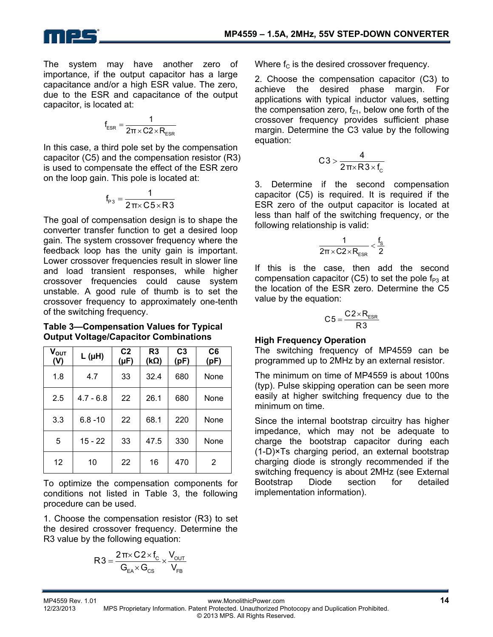

The system may have another zero of importance, if the output capacitor has a large capacitance and/or a high ESR value. The zero, due to the ESR and capacitance of the output

capacitor, is located at:

$$
f_{ESR} = \frac{1}{2\pi \times C2 \times R_{ESR}}
$$

In this case, a third pole set by the compensation capacitor (C5) and the compensation resistor (R3) is used to compensate the effect of the ESR zero on the loop gain. This pole is located at:

$$
f_{p_3} = \frac{1}{2\pi \times C5 \times R3}
$$

The goal of compensation design is to shape the converter transfer function to get a desired loop gain. The system crossover frequency where the feedback loop has the unity gain is important. Lower crossover frequencies result in slower line and load transient responses, while higher crossover frequencies could cause system unstable. A good rule of thumb is to set the crossover frequency to approximately one-tenth of the switching frequency.

**Table 3—Compensation Values for Typical Output Voltage/Capacitor Combinations** 

| $V_{OUT}$<br>(V) | $L(\mu H)$  | C <sub>2</sub><br>$(\mu F)$ | R <sub>3</sub><br>$(k\Omega)$ | C <sub>3</sub><br>(pF) | C <sub>6</sub><br>(pF) |
|------------------|-------------|-----------------------------|-------------------------------|------------------------|------------------------|
| 1.8              | 4.7         | 33                          | 32.4                          | 680                    | None                   |
| 2.5              | $4.7 - 6.8$ | 22                          | 26.1                          | 680                    | None                   |
| 3.3              | $6.8 - 10$  | 22                          | 68.1                          | 220                    | None                   |
| 5                | $15 - 22$   | 33                          | 47.5                          | 330                    | None                   |
| 12               | 10          | 22                          | 16                            | 470                    | 2                      |

To optimize the compensation components for conditions not listed in Table 3, the following procedure can be used.

1. Choose the compensation resistor (R3) to set the desired crossover frequency. Determine the R3 value by the following equation:

$$
R3 = \frac{2\pi \times C2 \times f_C}{G_{\text{EA}} \times G_{\text{CS}}} \times \frac{V_{\text{OUT}}}{V_{\text{FB}}}
$$

Where  $f_C$  is the desired crossover frequency.

2. Choose the compensation capacitor (C3) to achieve the desired phase margin. For applications with typical inductor values, setting the compensation zero,  $f_{z1}$ , below one forth of the crossover frequency provides sufficient phase margin. Determine the C3 value by the following equation:

$$
C3 > \frac{4}{2\pi \times R3 \times f_c}
$$

3. Determine if the second compensation capacitor (C5) is required. It is required if the ESR zero of the output capacitor is located at less than half of the switching frequency, or the following relationship is valid:

$$
\frac{1}{2\pi\times C2\times R_{\text{ESR}}} < \frac{f_s}{2}
$$

If this is the case, then add the second compensation capacitor (C5) to set the pole  $f_{P3}$  at the location of the ESR zero. Determine the C5 value by the equation:

$$
C5 = \frac{C2 \times R_{ESR}}{R3}
$$

#### **High Frequency Operation**

The switching frequency of MP4559 can be programmed up to 2MHz by an external resistor.

The minimum on time of MP4559 is about 100ns (typ). Pulse skipping operation can be seen more easily at higher switching frequency due to the minimum on time.

Since the internal bootstrap circuitry has higher impedance, which may not be adequate to charge the bootstrap capacitor during each (1-D)×Ts charging period, an external bootstrap charging diode is strongly recommended if the switching frequency is about 2MHz (see External Bootstrap Diode section for detailed implementation information).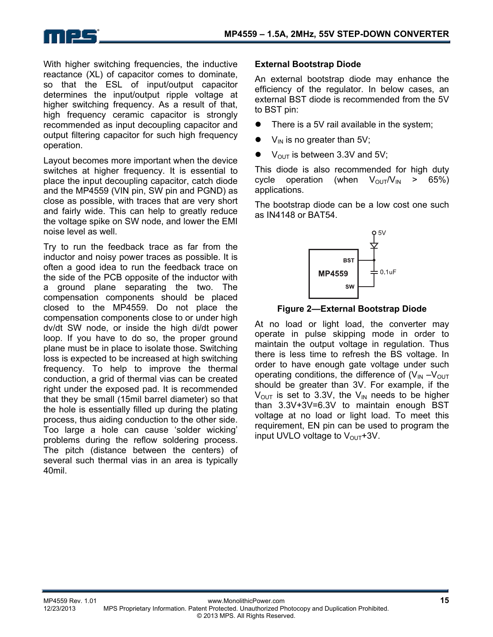

With higher switching frequencies, the inductive reactance (XL) of capacitor comes to dominate, so that the ESL of input/output capacitor determines the input/output ripple voltage at higher switching frequency. As a result of that, high frequency ceramic capacitor is strongly recommended as input decoupling capacitor and output filtering capacitor for such high frequency operation.

Layout becomes more important when the device switches at higher frequency. It is essential to place the input decoupling capacitor, catch diode and the MP4559 (VIN pin, SW pin and PGND) as close as possible, with traces that are very short and fairly wide. This can help to greatly reduce the voltage spike on SW node, and lower the EMI noise level as well.

Try to run the feedback trace as far from the inductor and noisy power traces as possible. It is often a good idea to run the feedback trace on the side of the PCB opposite of the inductor with a ground plane separating the two. The compensation components should be placed closed to the MP4559. Do not place the compensation components close to or under high dv/dt SW node, or inside the high di/dt power loop. If you have to do so, the proper ground plane must be in place to isolate those. Switching loss is expected to be increased at high switching frequency. To help to improve the thermal conduction, a grid of thermal vias can be created right under the exposed pad. It is recommended that they be small (15mil barrel diameter) so that the hole is essentially filled up during the plating process, thus aiding conduction to the other side. Too large a hole can cause 'solder wicking' problems during the reflow soldering process. The pitch (distance between the centers) of several such thermal vias in an area is typically 40mil.

#### **External Bootstrap Diode**

An external bootstrap diode may enhance the efficiency of the regulator. In below cases, an external BST diode is recommended from the 5V to BST pin:

- There is a 5V rail available in the system;
- $V_{IN}$  is no greater than 5V;
- $\bullet$  V<sub>OUT</sub> is between 3.3V and 5V;

This diode is also recommended for high duty cycle operation (when  $V_{\text{OUT}}/V_{\text{IN}} > 65\%$ ) applications.

The bootstrap diode can be a low cost one such as IN4148 or BAT54.



**Figure 2—External Bootstrap Diode** 

At no load or light load, the converter may operate in pulse skipping mode in order to maintain the output voltage in regulation. Thus there is less time to refresh the BS voltage. In order to have enough gate voltage under such operating conditions, the difference of  $(V_{IN} - V_{OUT})$ should be greater than 3V. For example, if the  $V_{\text{OUT}}$  is set to 3.3V, the V<sub>IN</sub> needs to be higher than 3.3V+3V=6.3V to maintain enough BST voltage at no load or light load. To meet this requirement, EN pin can be used to program the input UVLO voltage to  $V_{\text{OUT}}$ +3V.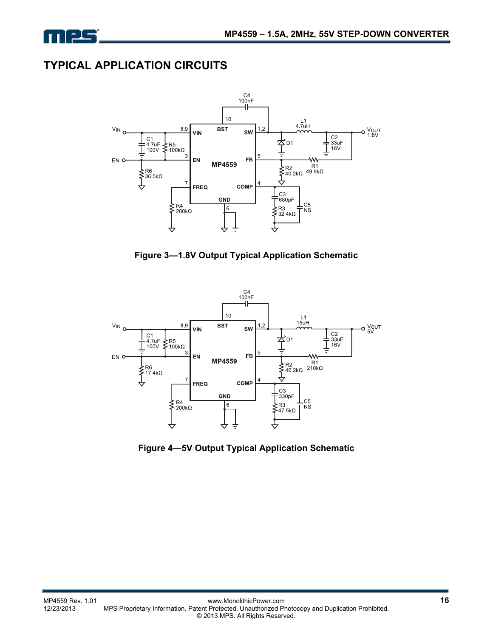

## **TYPICAL APPLICATION CIRCUITS**



**Figure 3—1.8V Output Typical Application Schematic** 



**Figure 4—5V Output Typical Application Schematic**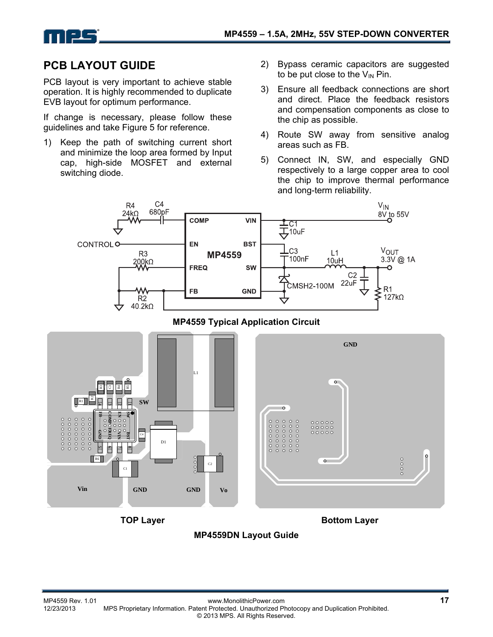

## **PCB LAYOUT GUIDE**

PCB layout is very important to achieve stable operation. It is highly recommended to duplicate EVB layout for optimum performance.

If change is necessary, please follow these guidelines and take Figure 5 for reference.

- 1) Keep the path of switching current short and minimize the loop area formed by Input cap, high-side MOSFET and external switching diode.
- 2) Bypass ceramic capacitors are suggested to be put close to the  $V_{IN}$  Pin.
- 3) Ensure all feedback connections are short and direct. Place the feedback resistors and compensation components as close to the chip as possible.
- 4) Route SW away from sensitive analog areas such as FB.
- 5) Connect IN, SW, and especially GND respectively to a large copper area to cool the chip to improve thermal performance and long-term reliability.



#### **MP4559 Typical Application Circuit**



#### **MP4559DN Layout Guide**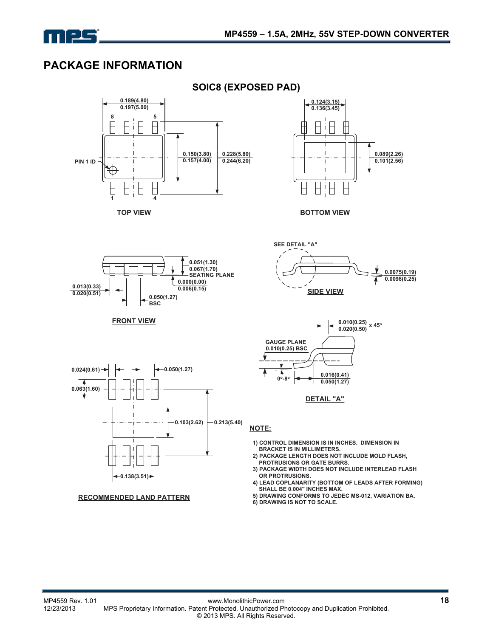

## **PACKAGE INFORMATION**



 $0.024(0.61) \rightarrow \left| \leftarrow \right| \rightarrow \left| \leftarrow 0.050(1.27) \right|$ **0.063(1.60)**  $\mathbf{\overline{y}}$ **0.103(2.62) 0.213(5.40) 0.138(3.51)**

**RECOMMENDED LAND PATTERN**

**DETAIL "A"**

Т

 $0°-8°$   $\rightarrow$   $\frac{0.016(0.41)}{0.050(1.27)}$ 

#### **NOTE:**

- **1) CONTROL DIMENSION IS IN INCHES. DIMENSION IN BRACKET IS IN MILLIMETERS.**
- **2) PACKAGE LENGTH DOES NOT INCLUDE MOLD FLASH, PROTRUSIONS OR GATE BURRS.**
- **3) PACKAGE WIDTH DOES NOT INCLUDE INTERLEAD FLASH OR PROTRUSIONS.**

**0.016(0.41)**

**0.0075(0.19) 0.0098(0.25)**

**0.089(2.26) 0.101(2.56)**

- **4) LEAD COPLANARITY (BOTTOM OF LEADS AFTER FORMING) SHALL BE 0.004" INCHES MAX.**
- **5) DRAWING CONFORMS TO JEDEC MS-012, VARIATION BA.**
- **6) DRAWING IS NOT TO SCALE.**